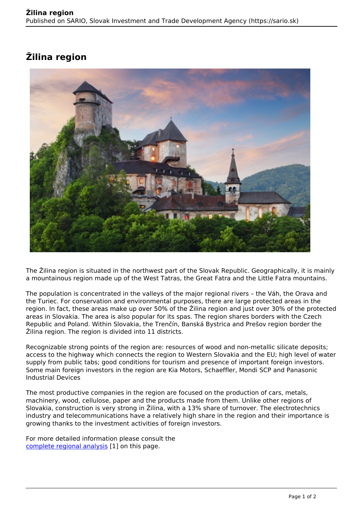## **Žilina region**



The Žilina region is situated in the northwest part of the Slovak Republic. Geographically, it is mainly a mountainous region made up of the West Tatras, the Great Fatra and the Little Fatra mountains.

The population is concentrated in the valleys of the major regional rivers – the Váh, the Orava and the Turiec. For conservation and environmental purposes, there are large protected areas in the region. In fact, these areas make up over 50% of the Žilina region and just over 30% of the protected areas in Slovakia. The area is also popular for its spas. The region shares borders with the Czech Republic and Poland. Within Slovakia, the Trenčín, Banská Bystrica and Prešov region border the Žilina region. The region is divided into 11 districts.

Recognizable strong points of the region are: resources of wood and non-metallic silicate deposits; access to the highway which connects the region to Western Slovakia and the EU; high level of water supply from public tabs; good conditions for tourism and presence of important foreign investors. Some main foreign investors in the region are Kia Motors, Schaeffler, Mondi SCP and Panasonic Industrial Devices

The most productive companies in the region are focused on the production of cars, metals, machinery, wood, cellulose, paper and the products made from them. Unlike other regions of Slovakia, construction is very strong in Žilina, with a 13% share of turnover. The electrotechnics industry and telecommunications have a relatively high share in the region and their importance is growing thanks to the investment activities of foreign investors.

For more detailed information please consult the [complete regional analysis](https://www.sario.sk/sites/default/files/content/files/Zilina%20Region.pdf) [1] on this page.